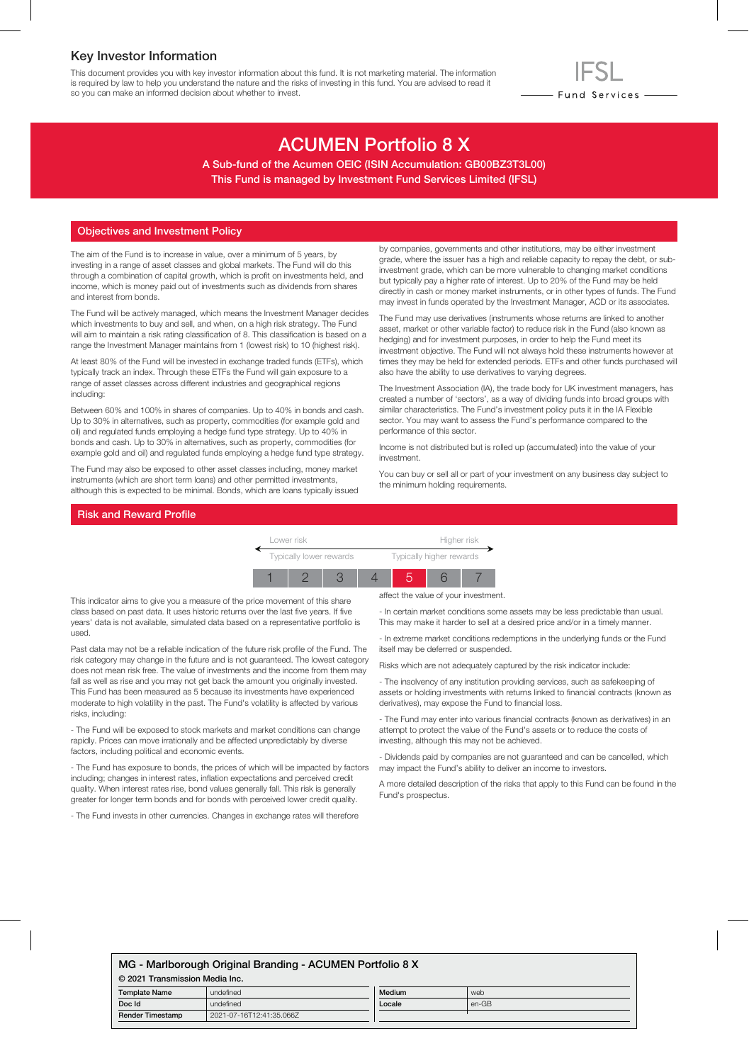### Key Investor Information

This document provides you with key investor information about this fund. It is not marketing material. The information is required by law to help you understand the nature and the risks of investing in this fund. You are advised to read it so you can make an informed decision about whether to invest.

# ACUMEN Portfolio 8 X

A Sub-fund of the Acumen OEIC (ISIN Accumulation: GB00BZ3T3L00) This Fund is managed by Investment Fund Services Limited (IFSL)

#### Objectives and Investment Policy

The aim of the Fund is to increase in value, over a minimum of 5 years, by investing in a range of asset classes and global markets. The Fund will do this through a combination of capital growth, which is profit on investments held, and income, which is money paid out of investments such as dividends from shares and interest from bonds.

The Fund will be actively managed, which means the Investment Manager decides which investments to buy and sell, and when, on a high risk strategy. The Fund will aim to maintain a risk rating classification of 8. This classification is based on a range the Investment Manager maintains from 1 (lowest risk) to 10 (highest risk).

At least 80% of the Fund will be invested in exchange traded funds (ETFs), which typically track an index. Through these ETFs the Fund will gain exposure to a range of asset classes across different industries and geographical regions including:

Between 60% and 100% in shares of companies. Up to 40% in bonds and cash. Up to 30% in alternatives, such as property, commodities (for example gold and oil) and regulated funds employing a hedge fund type strategy. Up to 40% in bonds and cash. Up to 30% in alternatives, such as property, commodities (for example gold and oil) and regulated funds employing a hedge fund type strategy.

The Fund may also be exposed to other asset classes including, money market instruments (which are short term loans) and other permitted investments, although this is expected to be minimal. Bonds, which are loans typically issued by companies, governments and other institutions, may be either investment grade, where the issuer has a high and reliable capacity to repay the debt, or subinvestment grade, which can be more vulnerable to changing market conditions but typically pay a higher rate of interest. Up to 20% of the Fund may be held directly in cash or money market instruments, or in other types of funds. The Fund may invest in funds operated by the Investment Manager, ACD or its associates.

- Fund Services —

The Fund may use derivatives (instruments whose returns are linked to another asset, market or other variable factor) to reduce risk in the Fund (also known as hedging) and for investment purposes, in order to help the Fund meet its investment objective. The Fund will not always hold these instruments however at times they may be held for extended periods. ETFs and other funds purchased will also have the ability to use derivatives to varying degrees.

The Investment Association (IA), the trade body for UK investment managers, has created a number of 'sectors', as a way of dividing funds into broad groups with similar characteristics. The Fund's investment policy puts it in the IA Flexible sector. You may want to assess the Fund's performance compared to the performance of this sector.

Income is not distributed but is rolled up (accumulated) into the value of your investment.

You can buy or sell all or part of your investment on any business day subject to the minimum holding requirements.

#### Risk and Reward Profile

| Lower risk              |  |  |  | Higher risk              |  |  |
|-------------------------|--|--|--|--------------------------|--|--|
| Typically lower rewards |  |  |  | Typically higher rewards |  |  |
|                         |  |  |  |                          |  |  |

This indicator aims to give you a measure of the price movement of this share class based on past data. It uses historic returns over the last five years. If five years' data is not available, simulated data based on a representative portfolio is used.

Past data may not be a reliable indication of the future risk profile of the Fund. The risk category may change in the future and is not guaranteed. The lowest category does not mean risk free. The value of investments and the income from them may fall as well as rise and you may not get back the amount you originally invested. This Fund has been measured as 5 because its investments have experienced moderate to high volatility in the past. The Fund's volatility is affected by various risks, including:

- The Fund will be exposed to stock markets and market conditions can change rapidly. Prices can move irrationally and be affected unpredictably by diverse factors, including political and economic events.

- The Fund has exposure to bonds, the prices of which will be impacted by factors including; changes in interest rates, inflation expectations and perceived credit quality. When interest rates rise, bond values generally fall. This risk is generally greater for longer term bonds and for bonds with perceived lower credit quality.

- The Fund invests in other currencies. Changes in exchange rates will therefore

affect the value of your investment.

- In certain market conditions some assets may be less predictable than usual. This may make it harder to sell at a desired price and/or in a timely manner.

- In extreme market conditions redemptions in the underlying funds or the Fund itself may be deferred or suspended.

Risks which are not adequately captured by the risk indicator include:

- The insolvency of any institution providing services, such as safekeeping of assets or holding investments with returns linked to financial contracts (known as derivatives), may expose the Fund to financial loss.

- The Fund may enter into various financial contracts (known as derivatives) in an attempt to protect the value of the Fund's assets or to reduce the costs of investing, although this may not be achieved.

- Dividends paid by companies are not guaranteed and can be cancelled, which may impact the Fund's ability to deliver an income to investors.

A more detailed description of the risks that apply to this Fund can be found in the Fund's prospectus.